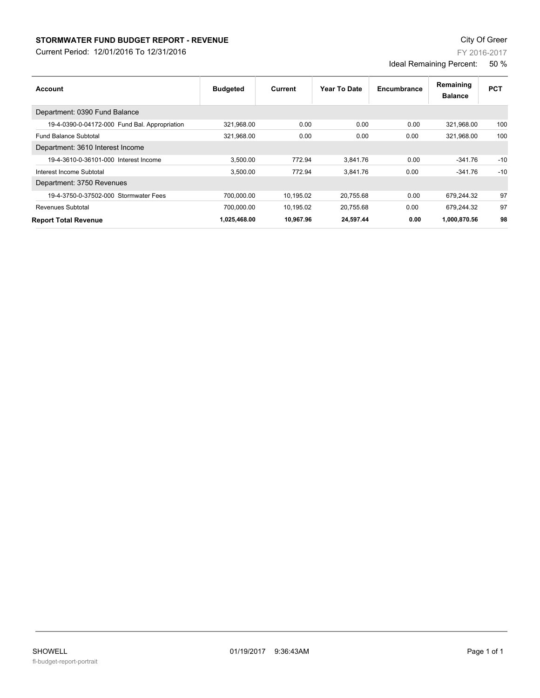## **STORMWATER FUND BUDGET REPORT - REVENUE CONSUMPTER FUND BUDGET REPORT - REVENUE**

Current Period: 12/01/2016 To 12/31/2016

| Account                                       | <b>Budgeted</b> | Current   | Year To Date | Encumbrance | Remaining<br><b>Balance</b> | <b>PCT</b> |
|-----------------------------------------------|-----------------|-----------|--------------|-------------|-----------------------------|------------|
| Department: 0390 Fund Balance                 |                 |           |              |             |                             |            |
| 19-4-0390-0-04172-000 Fund Bal. Appropriation | 321,968.00      | 0.00      | 0.00         | 0.00        | 321,968.00                  | 100        |
| <b>Fund Balance Subtotal</b>                  | 321.968.00      | 0.00      | 0.00         | 0.00        | 321.968.00                  | 100        |
| Department: 3610 Interest Income              |                 |           |              |             |                             |            |
| 19-4-3610-0-36101-000 Interest Income         | 3,500.00        | 772.94    | 3.841.76     | 0.00        | $-341.76$                   | $-10$      |
| Interest Income Subtotal                      | 3,500.00        | 772.94    | 3.841.76     | 0.00        | $-341.76$                   | $-10$      |
| Department: 3750 Revenues                     |                 |           |              |             |                             |            |
| 19-4-3750-0-37502-000 Stormwater Fees         | 700.000.00      | 10,195.02 | 20.755.68    | 0.00        | 679.244.32                  | 97         |
| Revenues Subtotal                             | 700,000.00      | 10,195.02 | 20,755.68    | 0.00        | 679.244.32                  | 97         |
| <b>Report Total Revenue</b>                   | 1,025,468.00    | 10.967.96 | 24,597.44    | 0.00        | 1,000,870.56                | 98         |

FY 2016-2017

Ideal Remaining Percent: 50 %